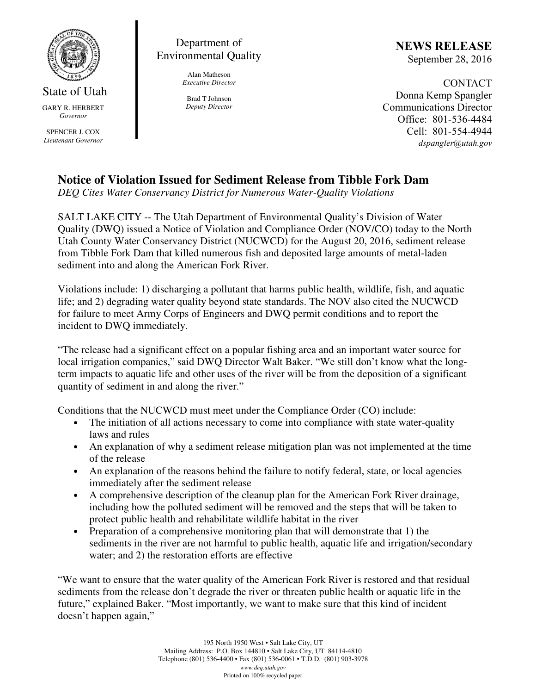

State of Utah GARY R. HERBERT *Governor* 

SPENCER J. COX *Lieutenant Governor* 

Department of Environmental Quality

> Alan Matheson *Executive Director*

Brad T Johnson *Deputy Director*  NEWS RELEASE September 28, 2016

CONTACT Donna Kemp Spangler Communications Director Office: 801-536-4484 Cell: 801-554-4944 dspangler@utah.gov

## **Notice of Violation Issued for Sediment Release from Tibble Fork Dam**

*DEQ Cites Water Conservancy District for Numerous Water-Quality Violations*

SALT LAKE CITY -- The Utah Department of Environmental Quality's Division of Water Quality (DWQ) issued a Notice of Violation and Compliance Order (NOV/CO) today to the North Utah County Water Conservancy District (NUCWCD) for the August 20, 2016, sediment release from Tibble Fork Dam that killed numerous fish and deposited large amounts of metal-laden sediment into and along the American Fork River.

Violations include: 1) discharging a pollutant that harms public health, wildlife, fish, and aquatic life; and 2) degrading water quality beyond state standards. The NOV also cited the NUCWCD for failure to meet Army Corps of Engineers and DWQ permit conditions and to report the incident to DWQ immediately.

"The release had a significant effect on a popular fishing area and an important water source for local irrigation companies," said DWQ Director Walt Baker. "We still don't know what the longterm impacts to aquatic life and other uses of the river will be from the deposition of a significant quantity of sediment in and along the river."

Conditions that the NUCWCD must meet under the Compliance Order (CO) include:

- The initiation of all actions necessary to come into compliance with state water-quality laws and rules
- An explanation of why a sediment release mitigation plan was not implemented at the time of the release
- An explanation of the reasons behind the failure to notify federal, state, or local agencies immediately after the sediment release
- A comprehensive description of the cleanup plan for the American Fork River drainage, including how the polluted sediment will be removed and the steps that will be taken to protect public health and rehabilitate wildlife habitat in the river
- Preparation of a comprehensive monitoring plan that will demonstrate that 1) the sediments in the river are not harmful to public health, aquatic life and irrigation/secondary water; and 2) the restoration efforts are effective

"We want to ensure that the water quality of the American Fork River is restored and that residual sediments from the release don't degrade the river or threaten public health or aquatic life in the future," explained Baker. "Most importantly, we want to make sure that this kind of incident doesn't happen again,"